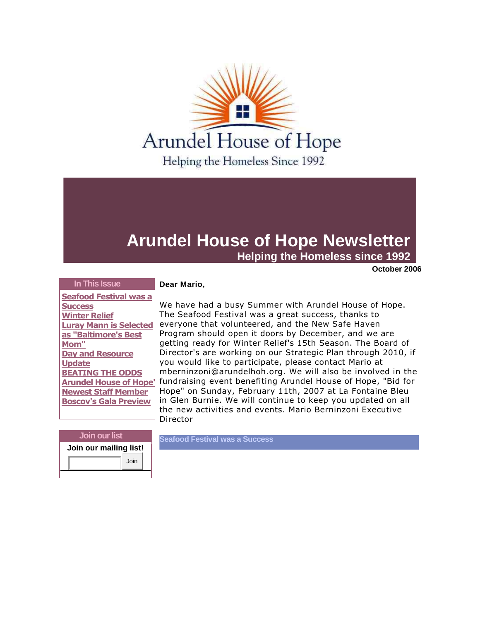

# **Arundel House of Hope Newsletter**

**Helping the Homeless since 1992** 

**October 2006** 

## **In This Issue**

 **[Seafood Festival was a](https://ui.constantcontact.com/templates/previewer.jsp?agent.uid=1101413041972#article1)  [Success](https://ui.constantcontact.com/templates/previewer.jsp?agent.uid=1101413041972#article1) [Winter](https://ui.constantcontact.com/templates/previewer.jsp?agent.uid=1101413041972#article2) Relief [Luray Mann is Selected](https://ui.constantcontact.com/templates/previewer.jsp?agent.uid=1101413041972#article3)  [as "Baltimore's Best](https://ui.constantcontact.com/templates/previewer.jsp?agent.uid=1101413041972#article3)  [Mom"](https://ui.constantcontact.com/templates/previewer.jsp?agent.uid=1101413041972#article3) [Day and Resource](https://ui.constantcontact.com/templates/previewer.jsp?agent.uid=1101413041972#article4)  [Update](https://ui.constantcontact.com/templates/previewer.jsp?agent.uid=1101413041972#article4) [BEATING THE ODDS](https://ui.constantcontact.com/templates/previewer.jsp?agent.uid=1101413041972#article5) Arundel House of Hope' [Newest Staff Member](https://ui.constantcontact.com/templates/previewer.jsp?agent.uid=1101413041972#article6) [Boscov's Gala Preview](https://ui.constantcontact.com/templates/previewer.jsp?agent.uid=1101413041972#article7)**

## **Dear Mario,**

We have had a busy Summer with Arundel House of Hope. The Seafood Festival was a great success, thanks to everyone that volunteered, and the New Safe Haven Program should open it doors by December, and we are getting ready for Winter Relief's 15th Season. The Board of Director's are working on our Strategic Plan through 2010, if you would like to participate, please contact Mario at mberninzoni@arundelhoh.org. We will also be involved in the fundraising event benefiting Arundel House of Hope, "Bid for Hope" on Sunday, February 11th, 2007 at La Fontaine Bleu in Glen Burnie. We will continue to keep you updated on all the new activities and events. Mario Berninzoni Executive Director

| Join our list          |      |
|------------------------|------|
| Join our mailing list! |      |
|                        | Join |

**Seafood Festival was a Success**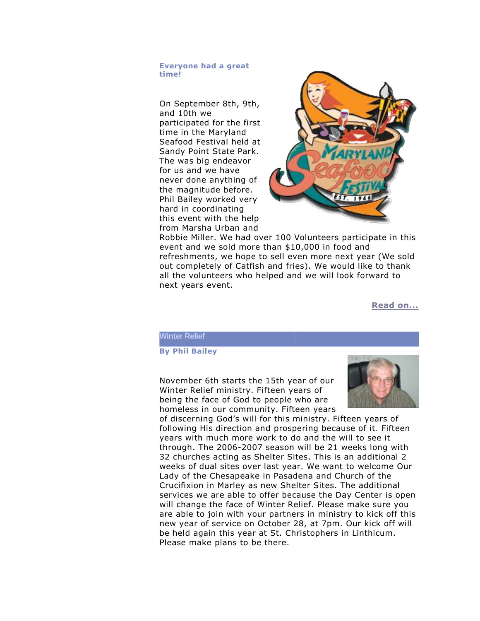#### **Everyone had a great time!**

On September 8th, 9th, and 10th we participated for the first time in the Maryland Seafood Festival held at Sandy Point State Park. The was big endeavor for us and we have never done anything of the magnitude before. Phil Bailey worked very hard in coordinating this event with the help from Marsha Urban and



Robbie Miller. We had over 100 Volunteers participate in this event and we sold more than \$10,000 in food and refreshments, we hope to sell even more next year (We sold out completely of Catfish and fries). We would like to thank all the volunteers who helped and we will look forward to next years event.

**[Read on...](http://r20.rs6.net/tn.jsp?llr=ephtatbab&et=1101413041972&s=0&e=001Myj6J5y7nh9jGEp_EEnj3t2zNKciF8as5ABga4kAKzgTr92WkGFqg99UsItkBXMhW5_WWzRM31er3Tfrdxf_FBz-6Lq9WqHWBUoVva3dBU7Y9cCJ5PRd9w==)**

### **Winter Relief**

## **By Phil Bailey**

November 6th starts the 15th year of our Winter Relief ministry. Fifteen years of being the face of God to people who are homeless in our community. Fifteen years



of discerning God's will for this ministry. Fifteen years of following His direction and prospering because of it. Fifteen years with much more work to do and the will to see it through. The 2006-2007 season will be 21 weeks long with 32 churches acting as Shelter Sites. This is an additional 2 weeks of dual sites over last year. We want to welcome Our Lady of the Chesapeake in Pasadena and Church of the Crucifixion in Marley as new Shelter Sites. The additional services we are able to offer because the Day Center is open will change the face of Winter Relief. Please make sure you are able to join with your partners in ministry to kick off this new year of service on October 28, at 7pm. Our kick off will be held again this year at St. Christophers in Linthicum. Please make plans to be there.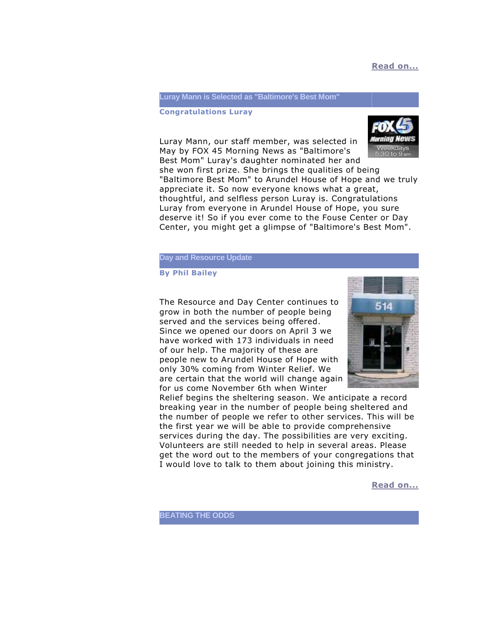## **[Read on...](http://r20.rs6.net/tn.jsp?llr=ephtatbab&et=1101413041972&s=0&e=001Myj6J5y7nh9jGEp_EEnj3t2zNKciF8as5ABga4kAKzgTr92WkGFqg99UsItkBXMhW5_WWzRM31er3Tfrdxf_FBz-6Lq9WqHWBUoVva3dBU7Y9cCJ5PRd9w==)**

#### **Luray Mann is Selected as "Baltimore's Best Mom"**

#### **Congratulations Luray**

Luray Mann, our staff member, was selected in May by FOX 45 Morning News as "Baltimore's Best Mom" Luray's daughter nominated her and



she won first prize. She brings the qualities of being "Baltimore Best Mom" to Arundel House of Hope and we truly appreciate it. So now everyone knows what a great, thoughtful, and selfless person Luray is. Congratulations Luray from everyone in Arundel House of Hope, you sure deserve it! So if you ever come to the Fouse Center or Day Center, you might get a glimpse of "Baltimore's Best Mom".

#### **Day and Resource Update**

**By Phil Bailey** 

The Resource and Day Center continues to grow in both the number of people being served and the services being offered. Since we opened our doors on April 3 we have worked with 173 individuals in need of our help. The majority of these are people new to Arundel House of Hope with only 30% coming from Winter Relief. We are certain that the world will change again for us come November 6th when Winter



Relief begins the sheltering season. We anticipate a record breaking year in the number of people being sheltered and the number of people we refer to other services. This will be the first year we will be able to provide comprehensive services during the day. The possibilities are very exciting. Volunteers are still needed to help in several areas. Please get the word out to the members of your congregations that I would love to talk to them about joining this ministry.

**[Read on...](http://r20.rs6.net/tn.jsp?llr=ephtatbab&et=1101413041972&s=0&e=001Myj6J5y7nh9jGEp_EEnj3t2zNKciF8as5ABga4kAKzgTr92WkGFqg99UsItkBXMhW5_WWzRM31er3Tfrdxf_FBz-6Lq9WqHWBUoVva3dBU7Y9cCJ5PRd9w==)**

**BEATING THE ODDS**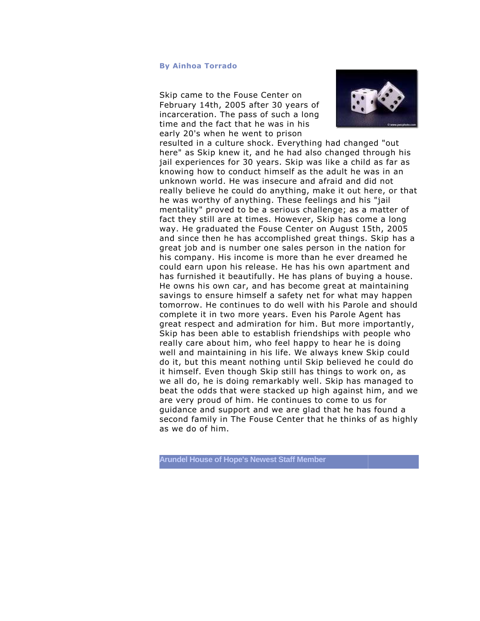#### **By Ainhoa Torrado**

Skip came to the Fouse Center on February 14th, 2005 after 30 years of incarceration. The pass of such a long time and the fact that he was in his early 20's when he went to prison



resulted in a culture shock. Everything had changed "out here" as Skip knew it, and he had also changed through his jail experiences for 30 years. Skip was like a child as far as knowing how to conduct himself as the adult he was in an unknown world. He was insecure and afraid and did not really believe he could do anything, make it out here, or that he was worthy of anything. These feelings and his "jail mentality" proved to be a serious challenge; as a matter of fact they still are at times. However, Skip has come a long way. He graduated the Fouse Center on August 15th, 2005 and since then he has accomplished great things. Skip has a great job and is number one sales person in the nation for his company. His income is more than he ever dreamed he could earn upon his release. He has his own apartment and has furnished it beautifully. He has plans of buying a house. He owns his own car, and has become great at maintaining savings to ensure himself a safety net for what may happen tomorrow. He continues to do well with his Parole and should complete it in two more years. Even his Parole Agent has great respect and admiration for him. But more importantly, Skip has been able to establish friendships with people who really care about him, who feel happy to hear he is doing well and maintaining in his life. We always knew Skip could do it, but this meant nothing until Skip believed he could do it himself. Even though Skip still has things to work on, as we all do, he is doing remarkably well. Skip has managed to beat the odds that were stacked up high against him, and we are very proud of him. He continues to come to us for guidance and support and we are glad that he has found a second family in The Fouse Center that he thinks of as highly as we do of him.

**Arundel House of Hope's Newest Staff Member**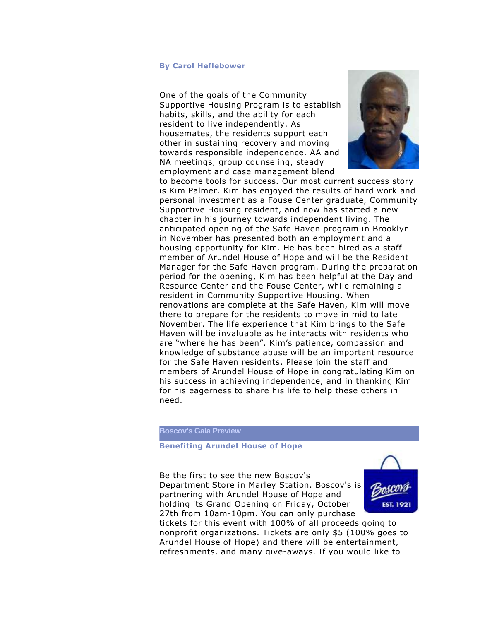#### **By Carol Heflebower**

One of the goals of the Community Supportive Housing Program is to establish habits, skills, and the ability for each resident to live independently. As housemates, the residents support each other in sustaining recovery and moving towards responsible independence. AA and NA meetings, group counseling, steady employment and case management blend



to become tools for success. Our most current success story is Kim Palmer. Kim has enjoyed the results of hard work and personal investment as a Fouse Center graduate, Community Supportive Housing resident, and now has started a new chapter in his journey towards independent living. The anticipated opening of the Safe Haven program in Brooklyn in November has presented both an employment and a housing opportunity for Kim. He has been hired as a staff member of Arundel House of Hope and will be the Resident Manager for the Safe Haven program. During the preparation period for the opening, Kim has been helpful at the Day and Resource Center and the Fouse Center, while remaining a resident in Community Supportive Housing. When renovations are complete at the Safe Haven, Kim will move there to prepare for the residents to move in mid to late November. The life experience that Kim brings to the Safe Haven will be invaluable as he interacts with residents who are "where he has been". Kim's patience, compassion and knowledge of substance abuse will be an important resource for the Safe Haven residents. Please join the staff and members of Arundel House of Hope in congratulating Kim on his success in achieving independence, and in thanking Kim for his eagerness to share his life to help these others in need.

#### **Boscov's Gala Preview**

#### **Benefiting Arundel House of Hope**

Be the first to see the new Boscov's Department Store in Marley Station. Boscov's is partnering with Arundel House of Hope and holding its Grand Opening on Friday, October 27th from 10am-10pm. You can only purchase



tickets for this event with 100% of all proceeds going to nonprofit organizations. Tickets are only \$5 (100% goes to Arundel House of Hope) and there will be entertainment, refreshments, and many give-aways. If you would like to